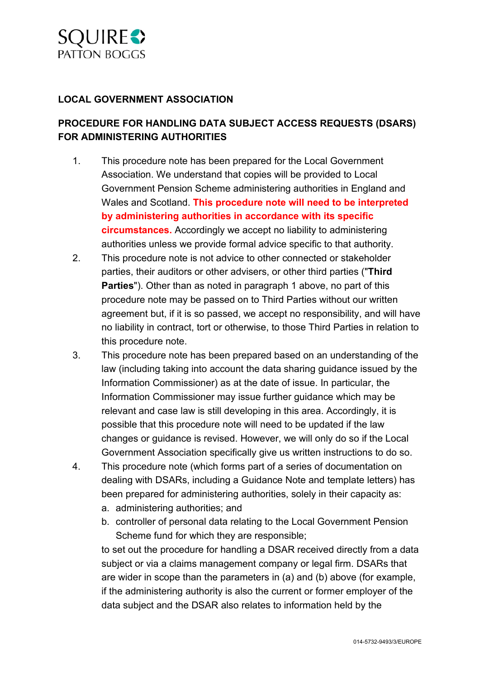

#### **LOCAL GOVERNMENT ASSOCIATION**

# **PROCEDURE FOR HANDLING DATA SUBJECT ACCESS REQUESTS (DSARS) FOR ADMINISTERING AUTHORITIES**

- 1. This procedure note has been prepared for the Local Government Association. We understand that copies will be provided to Local Government Pension Scheme administering authorities in England and Wales and Scotland. **This procedure note will need to be interpreted by administering authorities in accordance with its specific circumstances.** Accordingly we accept no liability to administering authorities unless we provide formal advice specific to that authority.
- 2. This procedure note is not advice to other connected or stakeholder parties, their auditors or other advisers, or other third parties ("**Third Parties**"). Other than as noted in paragraph 1 above, no part of this procedure note may be passed on to Third Parties without our written agreement but, if it is so passed, we accept no responsibility, and will have no liability in contract, tort or otherwise, to those Third Parties in relation to this procedure note.
- 3. This procedure note has been prepared based on an understanding of the law (including taking into account the data sharing guidance issued by the Information Commissioner) as at the date of issue. In particular, the Information Commissioner may issue further guidance which may be relevant and case law is still developing in this area. Accordingly, it is possible that this procedure note will need to be updated if the law changes or guidance is revised. However, we will only do so if the Local Government Association specifically give us written instructions to do so.
- 4. This procedure note (which forms part of a series of documentation on dealing with DSARs, including a Guidance Note and template letters) has been prepared for administering authorities, solely in their capacity as:
	- a. administering authorities; and
	- b. controller of personal data relating to the Local Government Pension Scheme fund for which they are responsible;

to set out the procedure for handling a DSAR received directly from a data subject or via a claims management company or legal firm. DSARs that are wider in scope than the parameters in (a) and (b) above (for example, if the administering authority is also the current or former employer of the data subject and the DSAR also relates to information held by the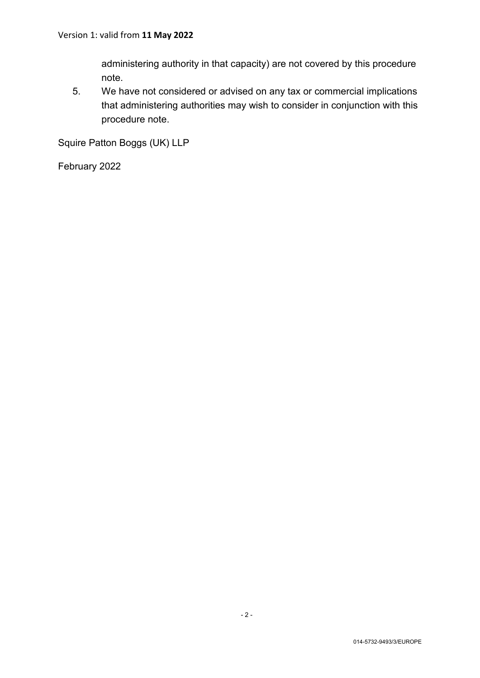administering authority in that capacity) are not covered by this procedure note.

5. We have not considered or advised on any tax or commercial implications that administering authorities may wish to consider in conjunction with this procedure note.

Squire Patton Boggs (UK) LLP

February 2022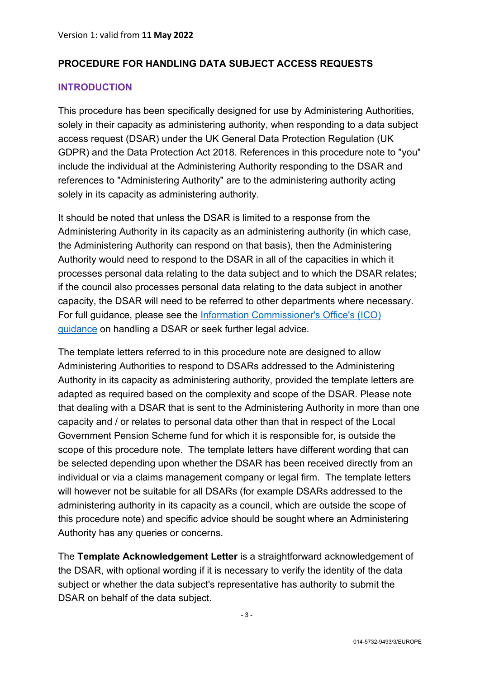### **PROCEDURE FOR HANDLING DATA SUBJECT ACCESS REQUESTS**

#### **INTRODUCTION**

This procedure has been specifically designed for use by Administering Authorities, solely in their capacity as administering authority, when responding to a data subject access request (DSAR) under the UK General Data Protection Regulation (UK GDPR) and the Data Protection Act 2018. References in this procedure note to "you" include the individual at the Administering Authority responding to the DSAR and references to "Administering Authority" are to the administering authority acting solely in its capacity as administering authority.

It should be noted that unless the DSAR is limited to a response from the Administering Authority in its capacity as an administering authority (in which case, the Administering Authority can respond on that basis), then the Administering Authority would need to respond to the DSAR in all of the capacities in which it processes personal data relating to the data subject and to which the DSAR relates; if the council also processes personal data relating to the data subject in another capacity, the DSAR will need to be referred to other departments where necessary. For full guidance, please see the [Information Commissioner's Office's \(ICO\)](https://ico.org.uk/for-organisations/guide-to-data-protection/guide-to-the-general-data-protection-regulation-gdpr/right-of-access/)  [guidance](https://ico.org.uk/for-organisations/guide-to-data-protection/guide-to-the-general-data-protection-regulation-gdpr/right-of-access/) on handling a DSAR or seek further legal advice.

The template letters referred to in this procedure note are designed to allow Administering Authorities to respond to DSARs addressed to the Administering Authority in its capacity as administering authority, provided the template letters are adapted as required based on the complexity and scope of the DSAR. Please note that dealing with a DSAR that is sent to the Administering Authority in more than one capacity and / or relates to personal data other than that in respect of the Local Government Pension Scheme fund for which it is responsible for, is outside the scope of this procedure note. The template letters have different wording that can be selected depending upon whether the DSAR has been received directly from an individual or via a claims management company or legal firm. The template letters will however not be suitable for all DSARs (for example DSARs addressed to the administering authority in its capacity as a council, which are outside the scope of this procedure note) and specific advice should be sought where an Administering Authority has any queries or concerns.

The **Template Acknowledgement Letter** is a straightforward acknowledgement of the DSAR, with optional wording if it is necessary to verify the identity of the data subject or whether the data subject's representative has authority to submit the DSAR on behalf of the data subject.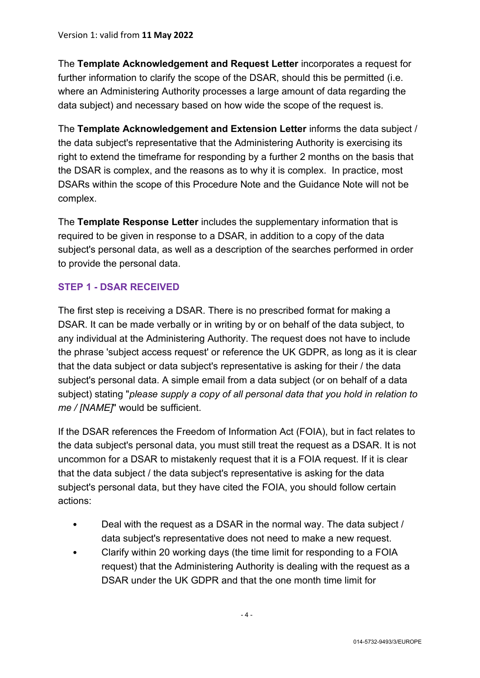The **Template Acknowledgement and Request Letter** incorporates a request for further information to clarify the scope of the DSAR, should this be permitted (i.e. where an Administering Authority processes a large amount of data regarding the data subject) and necessary based on how wide the scope of the request is.

The **Template Acknowledgement and Extension Letter** informs the data subject / the data subject's representative that the Administering Authority is exercising its right to extend the timeframe for responding by a further 2 months on the basis that the DSAR is complex, and the reasons as to why it is complex. In practice, most DSARs within the scope of this Procedure Note and the Guidance Note will not be complex.

The **Template Response Letter** includes the supplementary information that is required to be given in response to a DSAR, in addition to a copy of the data subject's personal data, as well as a description of the searches performed in order to provide the personal data.

### **STEP 1 - DSAR RECEIVED**

The first step is receiving a DSAR. There is no prescribed format for making a DSAR. It can be made verbally or in writing by or on behalf of the data subject, to any individual at the Administering Authority. The request does not have to include the phrase 'subject access request' or reference the UK GDPR, as long as it is clear that the data subject or data subject's representative is asking for their / the data subject's personal data. A simple email from a data subject (or on behalf of a data subject) stating "*please supply a copy of all personal data that you hold in relation to me / [NAME]*" would be sufficient.

If the DSAR references the Freedom of Information Act (FOIA), but in fact relates to the data subject's personal data, you must still treat the request as a DSAR. It is not uncommon for a DSAR to mistakenly request that it is a FOIA request. If it is clear that the data subject / the data subject's representative is asking for the data subject's personal data, but they have cited the FOIA, you should follow certain actions:

- Deal with the request as a DSAR in the normal way. The data subject / data subject's representative does not need to make a new request.
- Clarify within 20 working days (the time limit for responding to a FOIA request) that the Administering Authority is dealing with the request as a DSAR under the UK GDPR and that the one month time limit for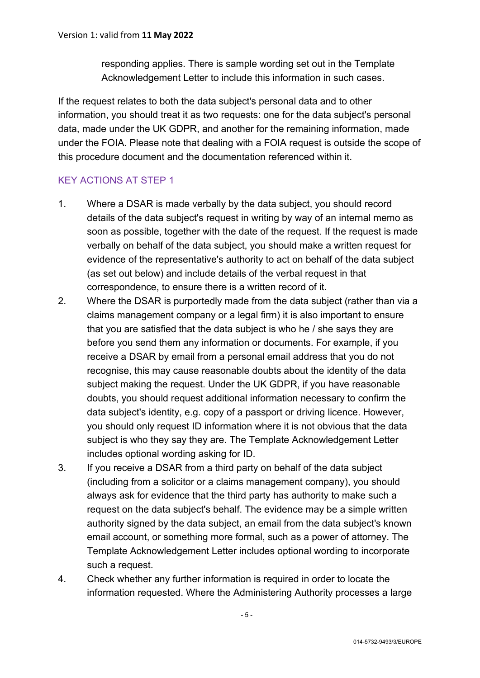responding applies. There is sample wording set out in the Template Acknowledgement Letter to include this information in such cases.

If the request relates to both the data subject's personal data and to other information, you should treat it as two requests: one for the data subject's personal data, made under the UK GDPR, and another for the remaining information, made under the FOIA. Please note that dealing with a FOIA request is outside the scope of this procedure document and the documentation referenced within it.

# KEY ACTIONS AT STEP 1

- 1. Where a DSAR is made verbally by the data subject, you should record details of the data subject's request in writing by way of an internal memo as soon as possible, together with the date of the request. If the request is made verbally on behalf of the data subject, you should make a written request for evidence of the representative's authority to act on behalf of the data subject (as set out below) and include details of the verbal request in that correspondence, to ensure there is a written record of it.
- 2. Where the DSAR is purportedly made from the data subject (rather than via a claims management company or a legal firm) it is also important to ensure that you are satisfied that the data subject is who he / she says they are before you send them any information or documents. For example, if you receive a DSAR by email from a personal email address that you do not recognise, this may cause reasonable doubts about the identity of the data subject making the request. Under the UK GDPR, if you have reasonable doubts, you should request additional information necessary to confirm the data subject's identity, e.g. copy of a passport or driving licence. However, you should only request ID information where it is not obvious that the data subject is who they say they are. The Template Acknowledgement Letter includes optional wording asking for ID.
- 3. If you receive a DSAR from a third party on behalf of the data subject (including from a solicitor or a claims management company), you should always ask for evidence that the third party has authority to make such a request on the data subject's behalf. The evidence may be a simple written authority signed by the data subject, an email from the data subject's known email account, or something more formal, such as a power of attorney. The Template Acknowledgement Letter includes optional wording to incorporate such a request.
- 4. Check whether any further information is required in order to locate the information requested. Where the Administering Authority processes a large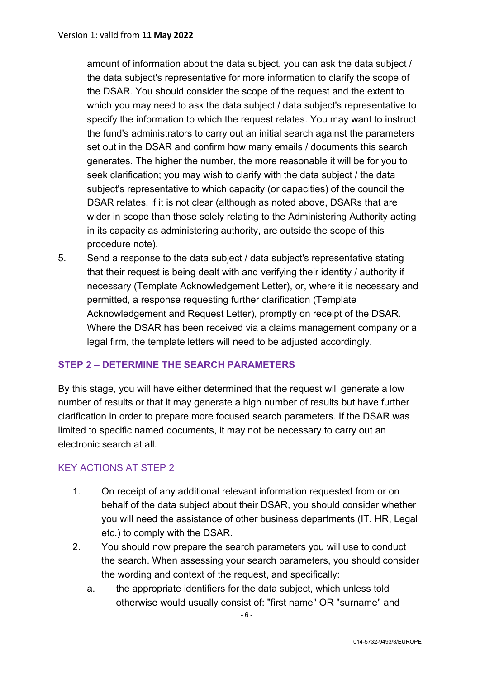amount of information about the data subject, you can ask the data subject / the data subject's representative for more information to clarify the scope of the DSAR. You should consider the scope of the request and the extent to which you may need to ask the data subject / data subject's representative to specify the information to which the request relates. You may want to instruct the fund's administrators to carry out an initial search against the parameters set out in the DSAR and confirm how many emails / documents this search generates. The higher the number, the more reasonable it will be for you to seek clarification; you may wish to clarify with the data subject / the data subject's representative to which capacity (or capacities) of the council the DSAR relates, if it is not clear (although as noted above, DSARs that are wider in scope than those solely relating to the Administering Authority acting in its capacity as administering authority, are outside the scope of this procedure note).

5. Send a response to the data subject / data subject's representative stating that their request is being dealt with and verifying their identity / authority if necessary (Template Acknowledgement Letter), or, where it is necessary and permitted, a response requesting further clarification (Template Acknowledgement and Request Letter), promptly on receipt of the DSAR. Where the DSAR has been received via a claims management company or a legal firm, the template letters will need to be adjusted accordingly.

### **STEP 2 – DETERMINE THE SEARCH PARAMETERS**

By this stage, you will have either determined that the request will generate a low number of results or that it may generate a high number of results but have further clarification in order to prepare more focused search parameters. If the DSAR was limited to specific named documents, it may not be necessary to carry out an electronic search at all.

# KEY ACTIONS AT STEP 2

- 1. On receipt of any additional relevant information requested from or on behalf of the data subject about their DSAR, you should consider whether you will need the assistance of other business departments (IT, HR, Legal etc.) to comply with the DSAR.
- 2. You should now prepare the search parameters you will use to conduct the search. When assessing your search parameters, you should consider the wording and context of the request, and specifically:
	- a. the appropriate identifiers for the data subject, which unless told otherwise would usually consist of: "first name" OR "surname" and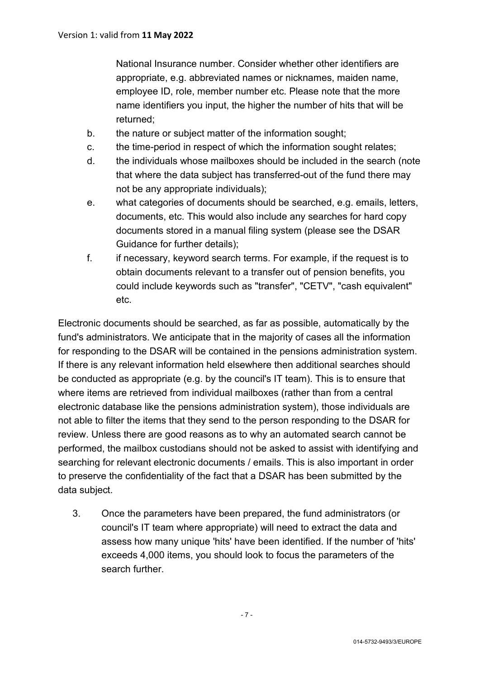National Insurance number. Consider whether other identifiers are appropriate, e.g. abbreviated names or nicknames, maiden name, employee ID, role, member number etc. Please note that the more name identifiers you input, the higher the number of hits that will be returned;

- b. the nature or subject matter of the information sought;
- c. the time-period in respect of which the information sought relates;
- d. the individuals whose mailboxes should be included in the search (note that where the data subject has transferred-out of the fund there may not be any appropriate individuals);
- e. what categories of documents should be searched, e.g. emails, letters, documents, etc. This would also include any searches for hard copy documents stored in a manual filing system (please see the DSAR Guidance for further details);
- f. if necessary, keyword search terms. For example, if the request is to obtain documents relevant to a transfer out of pension benefits, you could include keywords such as "transfer", "CETV", "cash equivalent" etc.

Electronic documents should be searched, as far as possible, automatically by the fund's administrators. We anticipate that in the majority of cases all the information for responding to the DSAR will be contained in the pensions administration system. If there is any relevant information held elsewhere then additional searches should be conducted as appropriate (e.g. by the council's IT team). This is to ensure that where items are retrieved from individual mailboxes (rather than from a central electronic database like the pensions administration system), those individuals are not able to filter the items that they send to the person responding to the DSAR for review. Unless there are good reasons as to why an automated search cannot be performed, the mailbox custodians should not be asked to assist with identifying and searching for relevant electronic documents / emails. This is also important in order to preserve the confidentiality of the fact that a DSAR has been submitted by the data subject.

3. Once the parameters have been prepared, the fund administrators (or council's IT team where appropriate) will need to extract the data and assess how many unique 'hits' have been identified. If the number of 'hits' exceeds 4,000 items, you should look to focus the parameters of the search further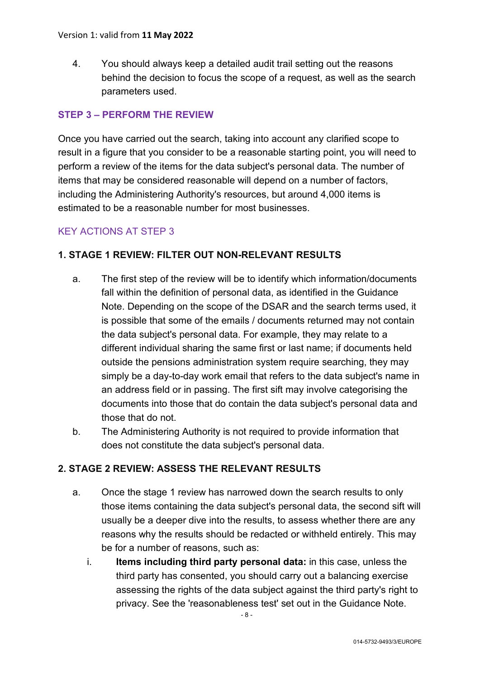4. You should always keep a detailed audit trail setting out the reasons behind the decision to focus the scope of a request, as well as the search parameters used.

# **STEP 3 – PERFORM THE REVIEW**

Once you have carried out the search, taking into account any clarified scope to result in a figure that you consider to be a reasonable starting point, you will need to perform a review of the items for the data subject's personal data. The number of items that may be considered reasonable will depend on a number of factors, including the Administering Authority's resources, but around 4,000 items is estimated to be a reasonable number for most businesses.

### KEY ACTIONS AT STEP 3

### **1. STAGE 1 REVIEW: FILTER OUT NON-RELEVANT RESULTS**

- a. The first step of the review will be to identify which information/documents fall within the definition of personal data, as identified in the Guidance Note. Depending on the scope of the DSAR and the search terms used, it is possible that some of the emails / documents returned may not contain the data subject's personal data. For example, they may relate to a different individual sharing the same first or last name; if documents held outside the pensions administration system require searching, they may simply be a day-to-day work email that refers to the data subject's name in an address field or in passing. The first sift may involve categorising the documents into those that do contain the data subject's personal data and those that do not.
- b. The Administering Authority is not required to provide information that does not constitute the data subject's personal data.

### **2. STAGE 2 REVIEW: ASSESS THE RELEVANT RESULTS**

- a. Once the stage 1 review has narrowed down the search results to only those items containing the data subject's personal data, the second sift will usually be a deeper dive into the results, to assess whether there are any reasons why the results should be redacted or withheld entirely. This may be for a number of reasons, such as:
	- i. **Items including third party personal data:** in this case, unless the third party has consented, you should carry out a balancing exercise assessing the rights of the data subject against the third party's right to privacy. See the 'reasonableness test' set out in the Guidance Note.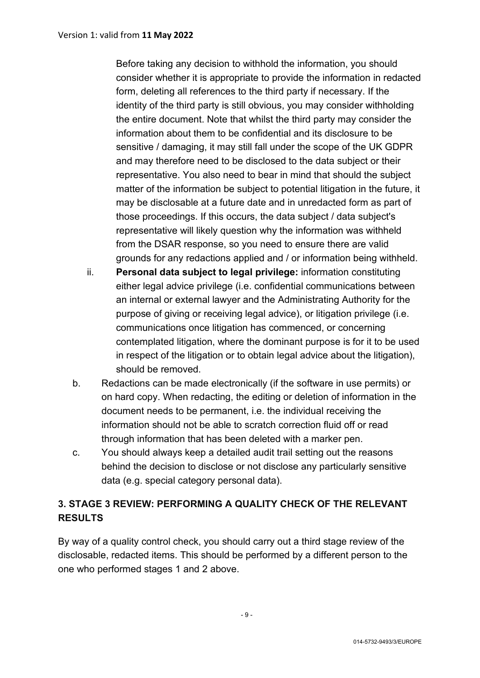Before taking any decision to withhold the information, you should consider whether it is appropriate to provide the information in redacted form, deleting all references to the third party if necessary. If the identity of the third party is still obvious, you may consider withholding the entire document. Note that whilst the third party may consider the information about them to be confidential and its disclosure to be sensitive / damaging, it may still fall under the scope of the UK GDPR and may therefore need to be disclosed to the data subject or their representative. You also need to bear in mind that should the subject matter of the information be subject to potential litigation in the future, it may be disclosable at a future date and in unredacted form as part of those proceedings. If this occurs, the data subject / data subject's representative will likely question why the information was withheld from the DSAR response, so you need to ensure there are valid grounds for any redactions applied and / or information being withheld.

- ii. **Personal data subject to legal privilege:** information constituting either legal advice privilege (i.e. confidential communications between an internal or external lawyer and the Administrating Authority for the purpose of giving or receiving legal advice), or litigation privilege (i.e. communications once litigation has commenced, or concerning contemplated litigation, where the dominant purpose is for it to be used in respect of the litigation or to obtain legal advice about the litigation), should be removed.
- b. Redactions can be made electronically (if the software in use permits) or on hard copy. When redacting, the editing or deletion of information in the document needs to be permanent, i.e. the individual receiving the information should not be able to scratch correction fluid off or read through information that has been deleted with a marker pen.
- c. You should always keep a detailed audit trail setting out the reasons behind the decision to disclose or not disclose any particularly sensitive data (e.g. special category personal data).

# **3. STAGE 3 REVIEW: PERFORMING A QUALITY CHECK OF THE RELEVANT RESULTS**

By way of a quality control check, you should carry out a third stage review of the disclosable, redacted items. This should be performed by a different person to the one who performed stages 1 and 2 above.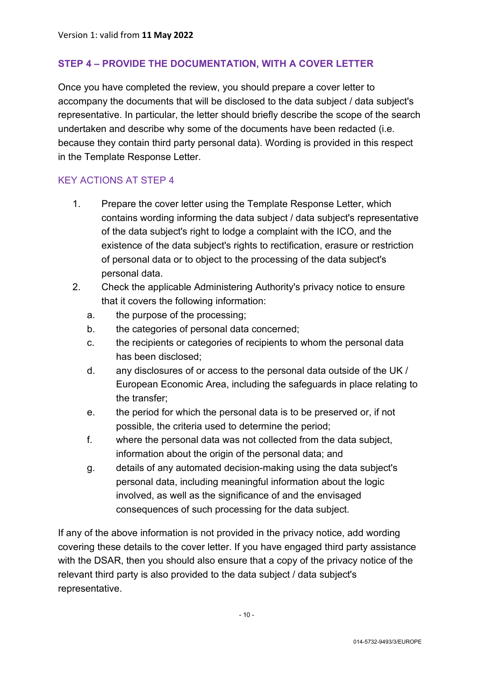### **STEP 4 – PROVIDE THE DOCUMENTATION, WITH A COVER LETTER**

Once you have completed the review, you should prepare a cover letter to accompany the documents that will be disclosed to the data subject / data subject's representative. In particular, the letter should briefly describe the scope of the search undertaken and describe why some of the documents have been redacted (i.e. because they contain third party personal data). Wording is provided in this respect in the Template Response Letter.

### KEY ACTIONS AT STEP 4

- 1. Prepare the cover letter using the Template Response Letter, which contains wording informing the data subject / data subject's representative of the data subject's right to lodge a complaint with the ICO, and the existence of the data subject's rights to rectification, erasure or restriction of personal data or to object to the processing of the data subject's personal data.
- 2. Check the applicable Administering Authority's privacy notice to ensure that it covers the following information:
	- a. the purpose of the processing;
	- b. the categories of personal data concerned;
	- c. the recipients or categories of recipients to whom the personal data has been disclosed;
	- d. any disclosures of or access to the personal data outside of the UK / European Economic Area, including the safeguards in place relating to the transfer;
	- e. the period for which the personal data is to be preserved or, if not possible, the criteria used to determine the period;
	- f. where the personal data was not collected from the data subject, information about the origin of the personal data; and
	- g. details of any automated decision-making using the data subject's personal data, including meaningful information about the logic involved, as well as the significance of and the envisaged consequences of such processing for the data subject.

If any of the above information is not provided in the privacy notice, add wording covering these details to the cover letter. If you have engaged third party assistance with the DSAR, then you should also ensure that a copy of the privacy notice of the relevant third party is also provided to the data subject / data subject's representative.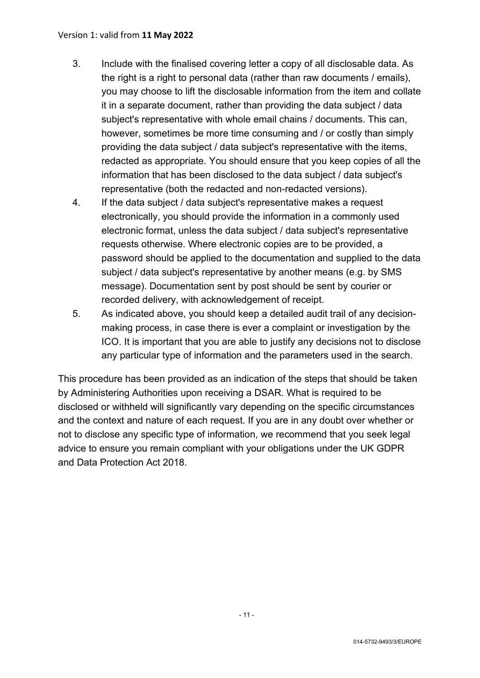- 3. Include with the finalised covering letter a copy of all disclosable data. As the right is a right to personal data (rather than raw documents / emails), you may choose to lift the disclosable information from the item and collate it in a separate document, rather than providing the data subject / data subject's representative with whole email chains / documents. This can, however, sometimes be more time consuming and / or costly than simply providing the data subject / data subject's representative with the items, redacted as appropriate. You should ensure that you keep copies of all the information that has been disclosed to the data subject / data subject's representative (both the redacted and non-redacted versions).
- 4. If the data subject / data subject's representative makes a request electronically, you should provide the information in a commonly used electronic format, unless the data subject / data subject's representative requests otherwise. Where electronic copies are to be provided, a password should be applied to the documentation and supplied to the data subject / data subject's representative by another means (e.g. by SMS message). Documentation sent by post should be sent by courier or recorded delivery, with acknowledgement of receipt.
- 5. As indicated above, you should keep a detailed audit trail of any decisionmaking process, in case there is ever a complaint or investigation by the ICO. It is important that you are able to justify any decisions not to disclose any particular type of information and the parameters used in the search.

This procedure has been provided as an indication of the steps that should be taken by Administering Authorities upon receiving a DSAR. What is required to be disclosed or withheld will significantly vary depending on the specific circumstances and the context and nature of each request. If you are in any doubt over whether or not to disclose any specific type of information, we recommend that you seek legal advice to ensure you remain compliant with your obligations under the UK GDPR and Data Protection Act 2018.